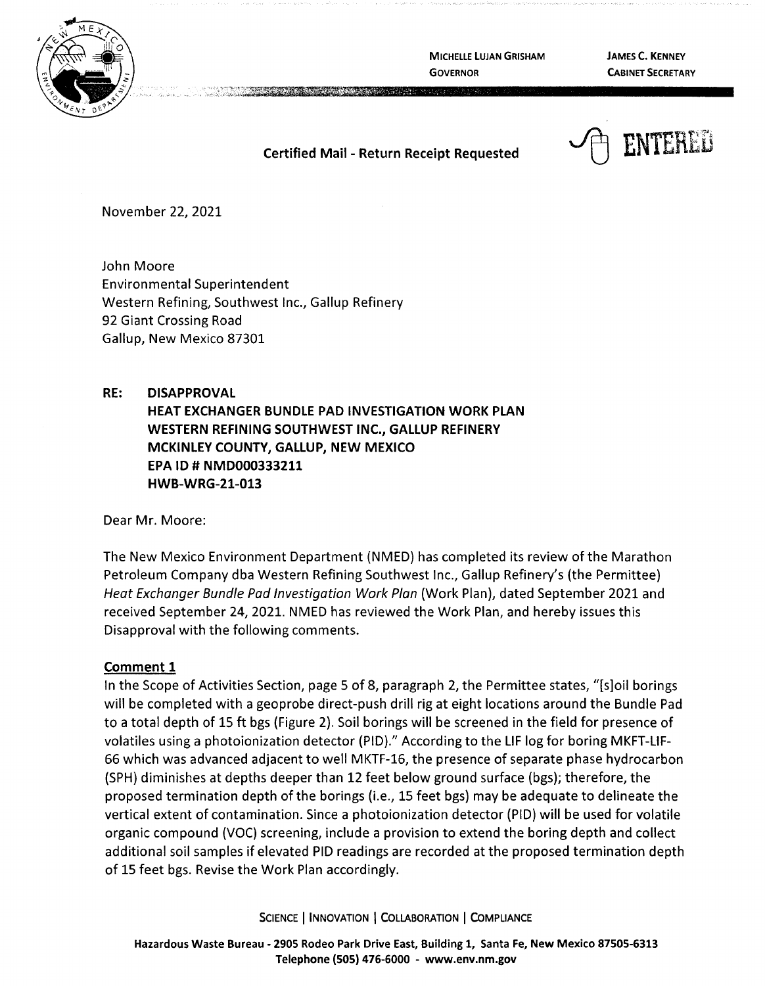

**MICHELLE LUJAN GRISHAM GOVERNOR** 

**JAMES C. KENNEY CABINET SECRETARY** 

# **Certified Mail** - **Return Receipt Requested**

~ ENTERED

November 22, 2021

John Moore Environmental Superintendent Western Refining, Southwest Inc., Gallup Refinery 92 Giant Crossing Road Gallup, New Mexico 87301

## **RE: DISAPPROVAL**

**HEAT EXCHANGER BUNDLE PAD INVESTIGATION WORK PLAN WESTERN REFINING SOUTHWEST INC., GALLUP REFINERY MCKINLEY COUNTY, GALLUP, NEW MEXICO EPA** ID# **NMD000333211 HWB-WRG-21-013** 

Dear Mr. Moore:

The New Mexico Environment Department (NMED) has completed its review of the Marathon Petroleum Company dba Western Refining Southwest Inc., Gallup Refinery's (the Permittee) Heat Exchanger Bundle Pad Investigation Work Plan (Work Plan), dated September 2021 and received September 24, 2021. NMED has reviewed the Work Plan, and hereby issues this Disapproval with the following comments.

# **Comment 1**

In the Scope of Activities Section, page 5 of 8, paragraph 2, the Permittee states, "[s]oil borings will be completed with a geoprobe direct-push drill rig at eight locations around the Bundle Pad to a total depth of 15 ft bgs (Figure 2). Soil borings will be screened in the field for presence of volatiles using a photoionization detector (PIO)." According to the LIF log for boring MKFT-LIF-66 which was advanced adjacent to well MKTF-16, the presence of separate phase hydrocarbon (SPH) diminishes at depths deeper than 12 feet below ground surface (bgs); therefore, the proposed termination depth of the borings (i.e., 15 feet bgs) may be adequate to delineate the vertical extent of contamination. Since a photoionization detector (PIO) will be used for volatile organic compound (VOC) screening, include a provision to extend the boring depth and collect additional soil samples if elevated PIO readings are recorded at the proposed termination depth of 15 feet bgs. Revise the Work Plan accordingly.

SCIENCE I **INNOVATION** I **COLLABORATION** I **COMPLIANCE**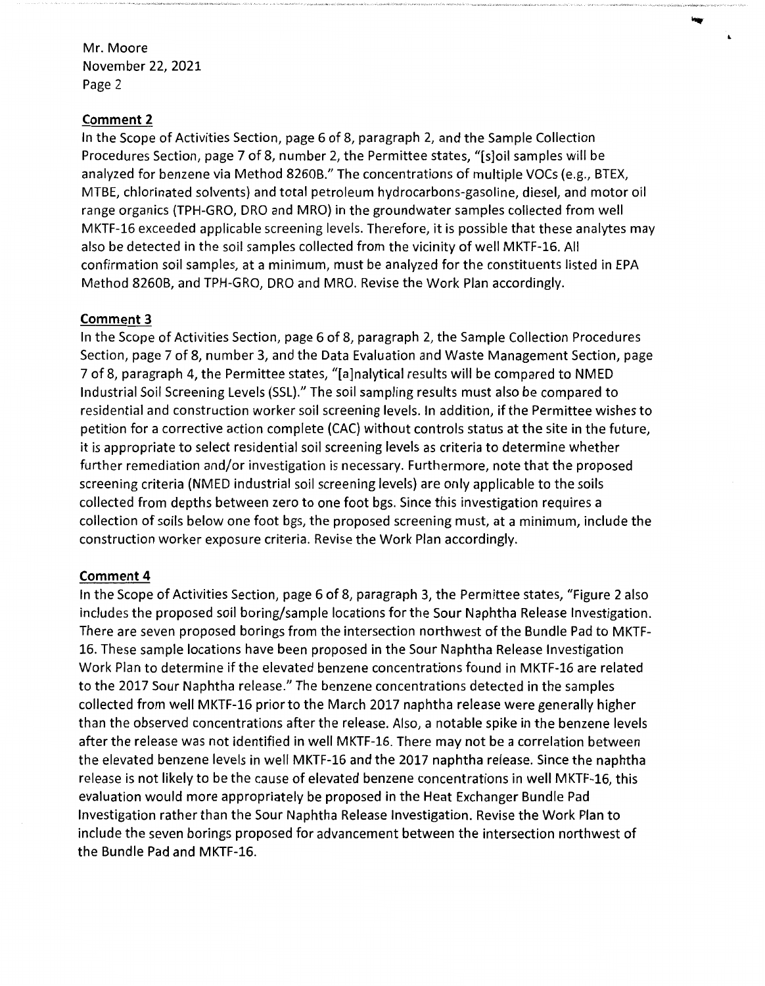Mr. Moore November 22, 2021 Page 2

## **Comment 2**

In the Scope of Activities Section, page 6 of 8, paragraph 2, and the Sample Collection Procedures Section, page 7 of 8, number 2, the Permittee states, "[s]oil samples will be analyzed for benzene via Method 8260B." The concentrations of multiple VOCs (e.g., BTEX, MTBE, chlorinated solvents) and total petroleum hydrocarbons-gasoline, diesel, and motor oil range organics (TPH-GRO, DRO and MRO) in the groundwater samples collected from well MKTF-16 exceeded applicable screening levels. Therefore, it is possible that these analytes may also be detected in the soil samples collected from the vicinity of well MKTF-16. All confirmation soil samples, at a minimum, must be analyzed for the constituents listed in EPA Method 8260B, and TPH-GRO, DRO and MRO. Revise the Work Plan accordingly.

## **Comment 3**

In the Scope of Activities Section, page 6 of 8, paragraph 2, the Sample Collection Procedures Section, page 7 of 8, number 3, and the Data Evaluation and Waste Management Section, page 7 of 8, paragraph 4, the Permittee states, "[a]nalytical results will be compared to NMED Industrial Soil Screening Levels (SSL)." The soil sampling results must also be compared to residential and construction worker soil screening levels. In addition, if the Permittee wishes to petition for a corrective action complete (CAC} without controls status at the site in the future, it is appropriate to select residential soil screening levels as criteria to determine whether further remediation and/or investigation is necessary. Furthermore, note that the proposed screening criteria (NMED industrial soil screening levels) are only applicable to the soils collected from depths between zero to one foot bgs. Since this investigation requires a collection of soils below one foot bgs, the proposed screening must, at a minimum, include the construction worker exposure criteria. Revise the Work Plan accordingly.

# **Comment 4**

In the Scope of Activities Section, page 6 of 8, paragraph 3, the Permittee states, "Figure 2 also includes the proposed soil boring/sample locations for the Sour Naphtha Release Investigation. There are seven proposed borings from the intersection northwest of the Bundle Pad to MKTF-16. These sample locations have been proposed in the Sour Naphtha Release Investigation Work Plan to determine if the elevated benzene concentrations found in MKTF-16 are related to the 2017 Sour Naphtha release." The benzene concentrations detected in the samples collected from well MKTF-16 prior to the March 2017 naphtha release were generally higher than the observed concentrations after the release. Also, a notable spike in the benzene levels after the release was not identified in well MKTF-16. There may not be a correlation between the elevated benzene levels in well MKTF-16 and the 2017 naphtha release. Since the naphtha release is not likely to be the cause of elevated benzene concentrations in well MKTF-16, this evaluation would more appropriately be proposed in the Heat Exchanger Bundle Pad Investigation rather than the Sour Naphtha Release Investigation. Revise the Work Plan to include the seven borings proposed for advancement between the intersection northwest of the Bundle Pad and MKTF-16.